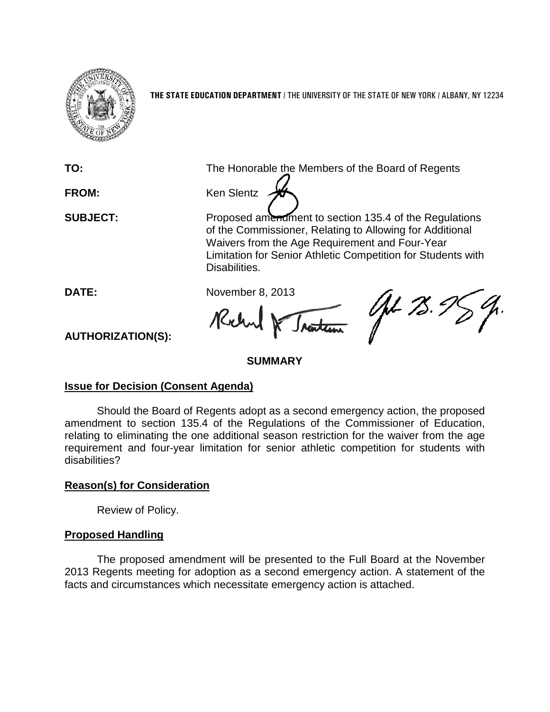

**THE STATE EDUCATION DEPARTMENT** / THE UNIVERSITY OF THE STATE OF NEW YORK / ALBANY, NY 12234

**TO:** The Honorable the Members of the Board of Regents



**SUBJECT:** Proposed amendment to section 135.4 of the Regulations of the Commissioner, Relating to Allowing for Additional Waivers from the Age Requirement and Four-Year Limitation for Senior Athletic Competition for Students with Disabilities.

**DATE:** November 8, 2013 Rohn

AL 75.

**AUTHORIZATION(S):**

### **SUMMARY**

#### **Issue for Decision (Consent Agenda)**

Should the Board of Regents adopt as a second emergency action, the proposed amendment to section 135.4 of the Regulations of the Commissioner of Education, relating to eliminating the one additional season restriction for the waiver from the age requirement and four-year limitation for senior athletic competition for students with disabilities?

## **Reason(s) for Consideration**

Review of Policy.

#### **Proposed Handling**

The proposed amendment will be presented to the Full Board at the November 2013 Regents meeting for adoption as a second emergency action. A statement of the facts and circumstances which necessitate emergency action is attached.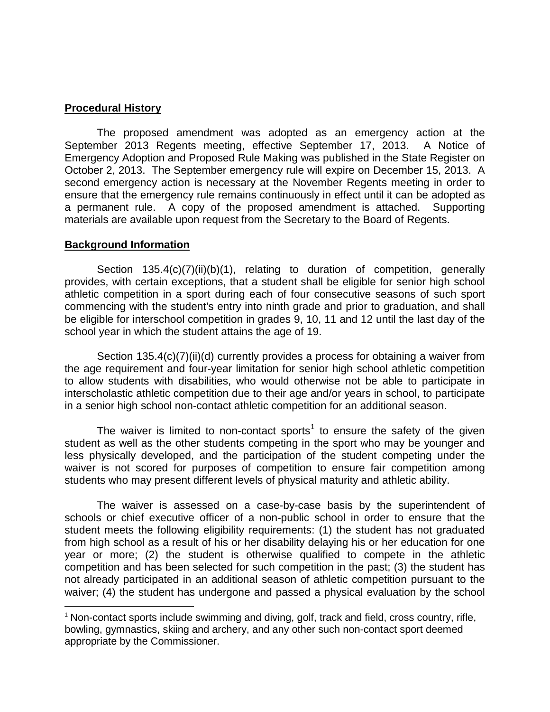#### **Procedural History**

The proposed amendment was adopted as an emergency action at the September 2013 Regents meeting, effective September 17, 2013. A Notice of Emergency Adoption and Proposed Rule Making was published in the State Register on October 2, 2013. The September emergency rule will expire on December 15, 2013. A second emergency action is necessary at the November Regents meeting in order to ensure that the emergency rule remains continuously in effect until it can be adopted as a permanent rule. A copy of the proposed amendment is attached. Supporting materials are available upon request from the Secretary to the Board of Regents.

#### **Background Information**

Section 135.4(c)(7)(ii)(b)(1), relating to duration of competition, generally provides, with certain exceptions, that a student shall be eligible for senior high school athletic competition in a sport during each of four consecutive seasons of such sport commencing with the student's entry into ninth grade and prior to graduation, and shall be eligible for interschool competition in grades 9, 10, 11 and 12 until the last day of the school year in which the student attains the age of 19.

Section 135.4(c)(7)(ii)(d) currently provides a process for obtaining a waiver from the age requirement and four-year limitation for senior high school athletic competition to allow students with disabilities, who would otherwise not be able to participate in interscholastic athletic competition due to their age and/or years in school, to participate in a senior high school non-contact athletic competition for an additional season.

The waiver is limited to non-contact sports<sup>[1](#page-1-0)</sup> to ensure the safety of the given student as well as the other students competing in the sport who may be younger and less physically developed, and the participation of the student competing under the waiver is not scored for purposes of competition to ensure fair competition among students who may present different levels of physical maturity and athletic ability.

The waiver is assessed on a case-by-case basis by the superintendent of schools or chief executive officer of a non-public school in order to ensure that the student meets the following eligibility requirements: (1) the student has not graduated from high school as a result of his or her disability delaying his or her education for one year or more; (2) the student is otherwise qualified to compete in the athletic competition and has been selected for such competition in the past; (3) the student has not already participated in an additional season of athletic competition pursuant to the waiver; (4) the student has undergone and passed a physical evaluation by the school

<span id="page-1-0"></span> $1$  Non-contact sports include swimming and diving, golf, track and field, cross country, rifle, bowling, gymnastics, skiing and archery, and any other such non-contact sport deemed appropriate by the Commissioner.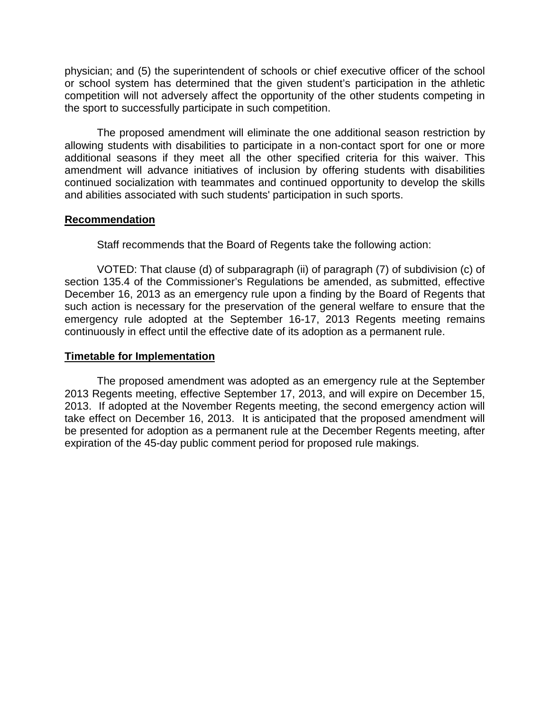physician; and (5) the superintendent of schools or chief executive officer of the school or school system has determined that the given student's participation in the athletic competition will not adversely affect the opportunity of the other students competing in the sport to successfully participate in such competition.

The proposed amendment will eliminate the one additional season restriction by allowing students with disabilities to participate in a non-contact sport for one or more additional seasons if they meet all the other specified criteria for this waiver. This amendment will advance initiatives of inclusion by offering students with disabilities continued socialization with teammates and continued opportunity to develop the skills and abilities associated with such students' participation in such sports.

#### **Recommendation**

Staff recommends that the Board of Regents take the following action:

VOTED: That clause (d) of subparagraph (ii) of paragraph (7) of subdivision (c) of section 135.4 of the Commissioner's Regulations be amended, as submitted, effective December 16, 2013 as an emergency rule upon a finding by the Board of Regents that such action is necessary for the preservation of the general welfare to ensure that the emergency rule adopted at the September 16-17, 2013 Regents meeting remains continuously in effect until the effective date of its adoption as a permanent rule.

#### **Timetable for Implementation**

The proposed amendment was adopted as an emergency rule at the September 2013 Regents meeting, effective September 17, 2013, and will expire on December 15, 2013. If adopted at the November Regents meeting, the second emergency action will take effect on December 16, 2013. It is anticipated that the proposed amendment will be presented for adoption as a permanent rule at the December Regents meeting, after expiration of the 45-day public comment period for proposed rule makings.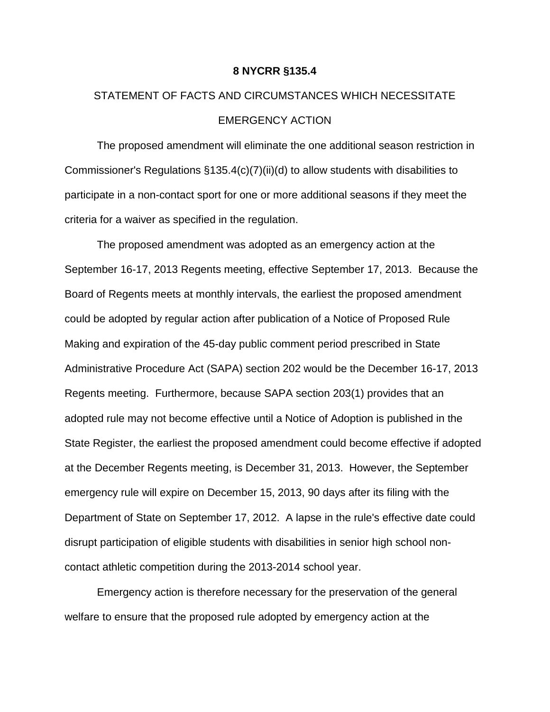#### **8 NYCRR §135.4**

# STATEMENT OF FACTS AND CIRCUMSTANCES WHICH NECESSITATE EMERGENCY ACTION

The proposed amendment will eliminate the one additional season restriction in Commissioner's Regulations §135.4(c)(7)(ii)(d) to allow students with disabilities to participate in a non-contact sport for one or more additional seasons if they meet the criteria for a waiver as specified in the regulation.

The proposed amendment was adopted as an emergency action at the September 16-17, 2013 Regents meeting, effective September 17, 2013. Because the Board of Regents meets at monthly intervals, the earliest the proposed amendment could be adopted by regular action after publication of a Notice of Proposed Rule Making and expiration of the 45-day public comment period prescribed in State Administrative Procedure Act (SAPA) section 202 would be the December 16-17, 2013 Regents meeting. Furthermore, because SAPA section 203(1) provides that an adopted rule may not become effective until a Notice of Adoption is published in the State Register, the earliest the proposed amendment could become effective if adopted at the December Regents meeting, is December 31, 2013. However, the September emergency rule will expire on December 15, 2013, 90 days after its filing with the Department of State on September 17, 2012. A lapse in the rule's effective date could disrupt participation of eligible students with disabilities in senior high school noncontact athletic competition during the 2013-2014 school year.

Emergency action is therefore necessary for the preservation of the general welfare to ensure that the proposed rule adopted by emergency action at the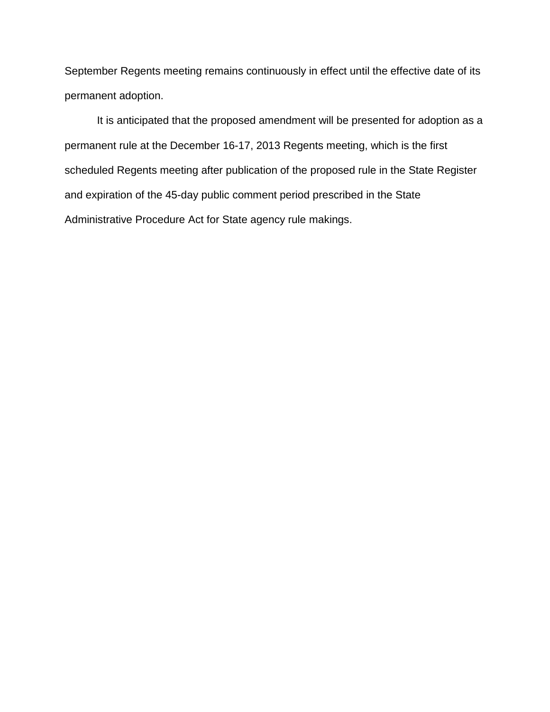September Regents meeting remains continuously in effect until the effective date of its permanent adoption.

It is anticipated that the proposed amendment will be presented for adoption as a permanent rule at the December 16-17, 2013 Regents meeting, which is the first scheduled Regents meeting after publication of the proposed rule in the State Register and expiration of the 45-day public comment period prescribed in the State Administrative Procedure Act for State agency rule makings.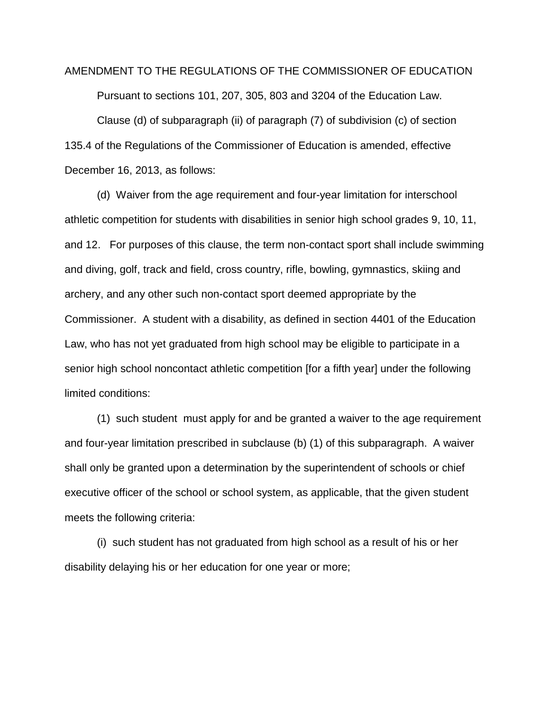#### AMENDMENT TO THE REGULATIONS OF THE COMMISSIONER OF EDUCATION

Pursuant to sections 101, 207, 305, 803 and 3204 of the Education Law.

Clause (d) of subparagraph (ii) of paragraph (7) of subdivision (c) of section 135.4 of the Regulations of the Commissioner of Education is amended, effective December 16, 2013, as follows:

(d) Waiver from the age requirement and four-year limitation for interschool athletic competition for students with disabilities in senior high school grades 9, 10, 11, and 12. For purposes of this clause, the term non-contact sport shall include swimming and diving, golf, track and field, cross country, rifle, bowling, gymnastics, skiing and archery, and any other such non-contact sport deemed appropriate by the Commissioner. A student with a disability, as defined in section 4401 of the Education Law, who has not yet graduated from high school may be eligible to participate in a senior high school noncontact athletic competition [for a fifth year] under the following limited conditions:

(1) such student must apply for and be granted a waiver to the age requirement and four-year limitation prescribed in subclause (b) (1) of this subparagraph. A waiver shall only be granted upon a determination by the superintendent of schools or chief executive officer of the school or school system, as applicable, that the given student meets the following criteria:

(i) such student has not graduated from high school as a result of his or her disability delaying his or her education for one year or more;